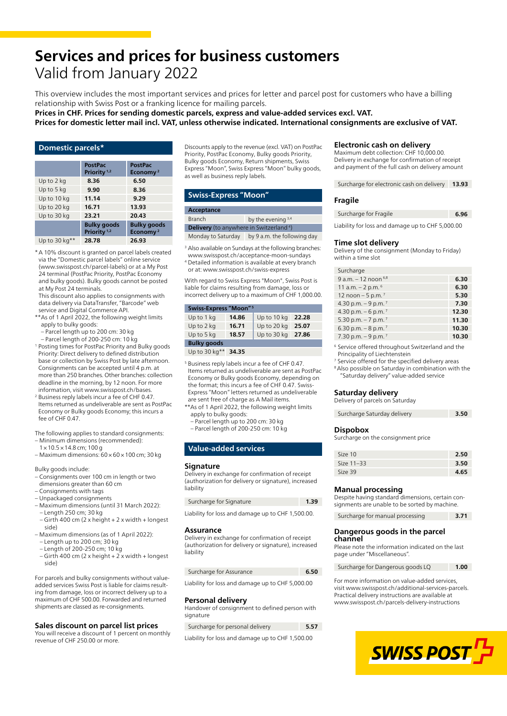# **Services and prices for business customers** Valid from January 2022

This overview includes the most important services and prices for letter and parcel post for customers who have a billing relationship with Swiss Post or a franking licence for mailing parcels.

**Prices in CHF. Prices for sending domestic parcels, express and value-added services excl. VAT.** 

**Prices for domestic letter mail incl. VAT, unless otherwise indicated. International consignments are exclusive of VAT.**

#### **Domestic parcels\***

|                 | <b>PostPac</b>                                | <b>PostPac</b>                             |
|-----------------|-----------------------------------------------|--------------------------------------------|
|                 | Priority <sup>1,2</sup>                       | Economy <sup>2</sup>                       |
| Up to 2 kg      | 8.36                                          | 6.50                                       |
| Up to 5 kg      | 9.90                                          | 8.36                                       |
| Up to 10 kg     | 11.14                                         | 9.29                                       |
| Up to 20 kg     | 16.71                                         | 13.93                                      |
| Up to 30 kg     | 23.21                                         | 20.43                                      |
|                 | <b>Bulky goods</b><br>Priority <sup>1,2</sup> | <b>Bulky goods</b><br>Economy <sup>2</sup> |
| Up to 30 $kg**$ | 28.78                                         | 26.93                                      |

\* A 10% discount is granted on parcel labels created via the "Domestic parcel labels" online service ([www.swisspost.ch/parcel-labels](https://www.swisspost.ch/parcel-labels)) or at a My Post 24 terminal (PostPac Priority, PostPac Economy and bulky goods). Bulky goods cannot be posted at My Post 24 terminals.

This discount also applies to consignments with data delivery via DataTransfer, "Barcode" web service and Digital Commerce API.

- \*\*As of 1 April 2022, the following weight limits apply to bulky goods:
	- Parcel length up to 200 cm: 30 kg
- Parcel length of 200-250 cm: 10 kg 1 Posting times for PostPac Priority and Bulky goods Priority: Direct delivery to defined distribution base or collection by Swiss Post by late afternoon. Consignments can be accepted until 4 p.m. at more than 250 branches. Other branches: collection deadline in the morning, by 12 noon. For more
- information, visit [www.swisspost.ch/bases](https://www.swisspost.ch/bases). <sup>2</sup> Business reply labels incur a fee of CHF 0.47. Items returned as undeliverable are sent as PostPac Economy or Bulky goods Economy; this incurs a fee of CHF 0.47.

The following applies to standard consignments:

- Minimum dimensions (recommended):
- 1 × 10.5 × 14.8 cm; 100 g  $-$  Maximum dimensions:  $60 \times 60 \times 100$  cm; 30 kg

Bulky goods include:

- Consignments over 100 cm in length or two dimensions greater than 60 cm
- Consignments with tags
- Unpackaged consignments
- Maximum dimensions (until 31 March 2022): – Length 250 cm; 30 kg – Girth 400 cm (2 x height + 2 x width + longest
- side) – Maximum dimensions (as of 1 April 2022): – Length up to 200 cm; 30 kg
- Length of 200-250 cm; 10 kg
- Girth 400 cm (2 x height + 2 x width + longest side)

For parcels and bulky consignments without valueadded services Swiss Post is liable for claims resulting from damage, loss or incorrect delivery up to a maximum of CHF 500.00. Forwarded and returned shipments are classed as re-consignments.

#### **Sales discount on parcel list prices**

You will receive a discount of 1 percent on monthly revenue of CHF 250.00 or more.

Discounts apply to the revenue (excl. VAT) on PostPac Priority, PostPac Economy, Bulky goods Priority, Bulky goods Economy, Return shipments, Swiss Express "Moon", Swiss Express "Moon" bulky goods, as well as business reply labels.

#### **Swiss-Express "Moon"**

#### **Acceptance**

Branch by the evening  $3,4$ **Delivery** (to anywhere in Switzerland<sup>4</sup>) Monday to Saturday by 9 a.m. the following day

- 
- <sup>3</sup> Also available on Sundays at the following branches: [www.swisspost.ch/acceptance-moon-sundays](https://www.swisspost.ch/acceptance-moon-sundays)
- 4 Detailed information is available at every branch
- or at: [www.swisspost.ch/swiss-express](https://www.swisspost.ch/swiss-express)

With regard to Swiss Express "Moon", Swiss Post is liable for claims resulting from damage, loss or incorrect delivery up to a maximum of CHF 1,000.00.

| Swiss-Express "Moon" <sup>5</sup>                        |       |             |       |  |
|----------------------------------------------------------|-------|-------------|-------|--|
| Up to 1 kg                                               | 14.86 | Up to 10 kg | 22.28 |  |
| Up to 2 kg                                               | 16.71 | Up to 20 kg | 25.07 |  |
| Up to 5 kg                                               | 18.57 | Up to 30 kg | 27.86 |  |
| <b>Bulky goods</b>                                       |       |             |       |  |
| $H = 100$ $\mu$ $\alpha$ $\pi$ $\alpha$ $\beta$ $\alpha$ |       |             |       |  |

Up to 30 kg\*\* **34.35**

- <sup>5</sup> Business reply labels incur a fee of CHF 0.47. Items returned as undeliverable are sent as PostPac Economy or Bulky goods Economy, depending on the format; this incurs a fee of CHF 0.47. Swiss-Express "Moon" letters returned as undeliverable are sent free of charge as A Mail items.
- \*\*As of 1 April 2022, the following weight limits apply to bulky goods:
	- Parcel length up to 200 cm: 30 kg – Parcel length of 200-250 cm: 10 kg

#### **Value-added services**

#### **Signature**

Delivery in exchange for confirmation of receipt (authorization for delivery or signature), increased liability

| Surcharge for Signature | 1.39 |
|-------------------------|------|
|-------------------------|------|

Liability for loss and damage up to CHF 1,500.00.

#### **Assurance**

Delivery in exchange for confirmation of receipt (authorization for delivery or signature), increased liability

| Surcharge for Assurance | 6.50 |
|-------------------------|------|
|-------------------------|------|

Liability for loss and damage up to CHF 5,000.00

#### **Personal delivery**

Handover of consignment to defined person with signature

| Surcharge for personal delivery | 5.57 |
|---------------------------------|------|
|---------------------------------|------|

Liability for loss and damage up to CHF 1,500.00

#### **Electronic cash on delivery**

Maximum debt collection: CHF 10,000.00. Delivery in exchange for confirmation of receipt and payment of the full cash on delivery amount

Surcharge for electronic cash on delivery **13.93**

#### **Fragile**

| Surcharge for Fragile | 6.96 |
|-----------------------|------|
|                       |      |

Liability for loss and damage up to CHF 5,000.00

### **Time slot delivery**

Delivery of the consignment (Monday to Friday) within a time slot

| Surcharge                        |       |
|----------------------------------|-------|
| 9 a.m. $-12$ noon $6,8$          | 6.30  |
| 11 a.m. $- 2$ p.m. $6$           | 6.30  |
| 12 noon $-5$ p.m. <sup>7</sup>   | 5.30  |
| 4.30 p.m. $-9$ p.m. <sup>7</sup> | 7.30  |
| 4.30 p.m. $-6$ p.m. $^{7}$       | 12.30 |
| 5.30 p.m. $-7$ p.m. $^{7}$       | 11.30 |
| 6.30 p.m. $-8$ p.m. $^7$         | 10.30 |
| 7.30 p.m. $-9$ p.m. $7$          | 10.30 |
|                                  |       |

<sup>6</sup> Service offered throughout Switzerland and the Principality of Liechtenstein

<sup>7</sup> Service offered for the specified delivery areas <sup>8</sup> Also possible on Saturday in combination with the

"Saturday delivery" value-added service

#### **Saturday delivery** Delivery of parcels on Saturday

| $5 - 11$ , $11 - 12$ , $12 - 13$ , $13 - 13$ , $14 - 13$ |      |
|----------------------------------------------------------|------|
| Surcharge Saturday delivery                              | 3.50 |

#### **Dispobox**

Surcharge on the consignment price

| Size 10    | 2.50 |
|------------|------|
| Size 11-33 | 3.50 |
| Size 39    | 4.65 |

# **Manual processing**

Despite having standard dimensions, certain consignments are unable to be sorted by machine.

| Surcharge for manual processing | 3.71 |
|---------------------------------|------|
|                                 |      |

#### **Dangerous goods in the parcel channel**

Please note the information indicated on the last page under "Miscellaneous".

Surcharge for Dangerous goods LQ **1.00**

For more information on value-added services, visit [www.swisspost.ch/additional-services-parcels.](https://www.swisspost.ch/additional-services-parcels) Practical delivery instructions are available at [www.swisspost.ch/parcels-delivery-instructions](https://www.swisspost.ch/parcels-delivery-instructions)

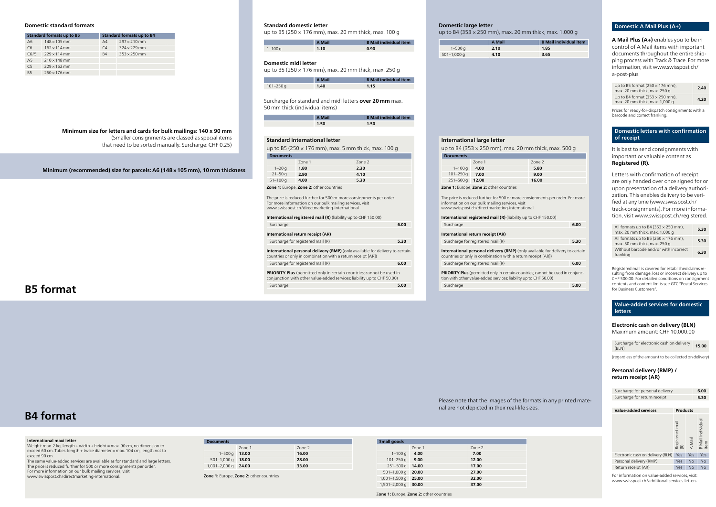**Minimum size for letters and cards for bulk mailings: 140 x 90 mm** (Smaller consignments are classed as special items that need to be sorted manually. Surcharge: CHF 0.25)

**Minimum (recommended) size for parcels: A6 (148 × 105 mm), 10 mm thickness**

| <b>Standard formats up to B5</b> |                     | <b>Standard formats up to B4</b> |                     |
|----------------------------------|---------------------|----------------------------------|---------------------|
| A <sub>6</sub>                   | $148 \times 105$ mm | A4                               | $297 \times 210$ mm |
| C6                               | $162 \times 114$ mm | C <sub>4</sub>                   | $324 \times 229$ mm |
| C6/5                             | $229 \times 114$ mm | <b>B4</b>                        | $353 \times 250$ mm |
| A <sub>5</sub>                   | $210 \times 148$ mm |                                  |                     |
| C <sub>5</sub>                   | $229 \times 162$ mm |                                  |                     |
| <b>B5</b>                        | $250 \times 176$ mm |                                  |                     |

#### **Domestic standard formats**

|             | A Mail | <b>B</b> Mail individual item |
|-------------|--------|-------------------------------|
| $1 - 100$ g | 1.10   | 0.90                          |

# **Standard domestic letter**

up to B5 (250  $\times$  176 mm), max. 20 mm thick, max. 100 g

|           | <b>A Mail</b> | <b>B</b> Mail individual item |
|-----------|---------------|-------------------------------|
| 101–250 g | 1.40          | 1.15                          |

# **Domestic midi letter**

up to B5 (250  $\times$  176 mm), max. 20 mm thick, max. 250 g

Surcharge for standard and midi letters **over 20 mm** max. 50 mm thick (individual items)

| A Mail | <b>B</b> Mail individual item |
|--------|-------------------------------|
| 1.50   | 1.50                          |

#### **Standard international letter**

up to B5 (250 × 176 mm), max. 5 mm thick, max. 100 g

| <b>Documents</b> |        |        |  |
|------------------|--------|--------|--|
|                  | Zone 1 | Zone 2 |  |
| $1 - 20q$        | 1.80   | 2.30   |  |
| $21 - 50q$       | 2.90   | 4.10   |  |
| $51 - 100$ g     | 4.00   | 5.30   |  |

**Zone 1:** Europe, **Zone 2:** other countries

The price is reduced further for 500 or more consignments per order. For more information on our bulk mailing services, visit [www.swisspost.ch/directmarketing-international](https://www.swisspost.ch/directmarketing-international)

| <b>International registered mail (R)</b> (liability up to CHF 150.00) |      |  |
|-----------------------------------------------------------------------|------|--|
| Surcharge                                                             | 6.00 |  |
| International return receipt (AR)                                     |      |  |
| Surcharge for registered mail (R)                                     | 5.30 |  |
|                                                                       |      |  |

**International personal delivery (RMP)** (only available for delivery to certain countries or only in combination with a return receipt [AR]) Surcharge for registered mail (R) **6.00**

**International registered mail (R)** (liability up to CHF Surcharge **6.00**

**PRIORITY Plus** (permitted only in certain countries; cannot be used in conjunction with other value-added services; liability up to CHF 50.00) Surcharge **5.00** **International personal delivery (RMP)** (only availab countries or only in combination with a return receipt Surcharge for registered mail (R) **6.00**

**PRIORITY Plus** (permitted only in certain countries; can tion with other value-added services; liability up to CHF 50.00) Surcharge **5.00** 

#### **International maxi letter**

Weight: max. 2 kg, length + width + height = max. 90 cm, no dimension to exceed 60 cm. Tubes: length + twice diameter = max. 104 cm, length not to exceed 90 cm.

The same value-added services are available as for standard and large letters. The price is reduced further for 500 or more consignments per order. For more information on our bulk mailing services, visit [www.swisspost.ch/directmarketing-international.](https://www.swisspost.ch/directmarketing-international)

| <b>Documents</b>              |        |        |  |
|-------------------------------|--------|--------|--|
|                               | Zone 1 | Zone 2 |  |
| $1 - 500$ q 13.00             |        | 16.00  |  |
| $501-1,000 \text{ q}$ 18.00   |        | 28.00  |  |
| $1,001-2,000 \text{ q}$ 24.00 |        | 33.00  |  |

**Zone 1:** Europe, **Zone 2:** other countries

**B5 format**

# **B4 format**

|                 | A Mail | <b>B</b> Mail individual item |
|-----------------|--------|-------------------------------|
| $1 - 500q$      | 2.10   | 1.85                          |
| $501 - 1,000$ g | 4.10   | 3.65                          |

#### **Domestic large letter**

Surcharge for electronic cash on delivery **15.00**  $(RIN)$ 

up to B4 (353 × 250 mm), max. 20 mm thick, max. 1,000 g

### Please note that the images of the formats in any printed material are not depicted in their real-life sizes.

**Value-added services Products** A Mail B Mail individual item Electronic cash on delivery (BLN) Yes Yes Yes Personal delivery (RMP) Yes No No Return receipt (AR) Yes No No

#### **International large letter**

up to B4 (353 × 250 mm), max. 20 mm thick, max. 500 g

| <b>Documents</b>                                                                                                                         |        |        |  |
|------------------------------------------------------------------------------------------------------------------------------------------|--------|--------|--|
|                                                                                                                                          | Zone 1 | Zone 2 |  |
| $1 - 100q$                                                                                                                               | 4.00   | 5.80   |  |
| $101 - 250$ g                                                                                                                            | 7.00   | 9.00   |  |
| $251 - 500$ g                                                                                                                            | 12.00  | 16.00  |  |
| Zone 1: Europe, Zone 2: other countries                                                                                                  |        |        |  |
| The price is reduced further for 500 or more consignments per order. For more<br>والمثار وموارسهم ومطالعوه بالربط وربم وبمروضهم وموماتها |        |        |  |

information on our bulk mailing services, visit [www.swisspost.ch/directmarketing-international](https://www.swisspost.ch/directmarketing-international)

#### **International return receipt (AR)**

Surcharge for registered mail (R)

# **Domestic A Mail Plus (A+)**

**A Mail Plus (A+)** enables you to be in control of A Mail items with important documents throughout the entire shipping process with Track & Trace. For more [information, visit www.swisspost.ch/](https://www.swisspost.ch/a-post-plus) a-post-plus.

| Up to B5 format ( $250 \times 176$ mm),<br>max. 20 mm thick, max. 250 g  | 2.40 |
|--------------------------------------------------------------------------|------|
| Up to B4 format $(353 \times 250$ mm),<br>max. 20 mm thick, max. 1,000 g | 4.20 |

Prices for ready-for-dispatch consignments with a barcode and correct franking.

# **Domestic letters with confirmation of receipt**

It is best to send consignments with important or valuable content as **Registered (R).**

Letters with confirmation of receipt are only handed over once signed for or upon presentation of a delivery authorization. This enables delivery to be verified at any time [\(www.swisspost.ch/](https://www.swisspost.ch/track-consignments) [track-consignments](https://www.swisspost.ch/track-consignments)). For more information, visit [www.swisspost.ch/registered.](https://www.swisspost.ch/registered)

| All formats up to B4 (353 $\times$ 250 mm),<br>max. 20 mm thick, max. 1,000 g | 5.30 |
|-------------------------------------------------------------------------------|------|
| All formats up to B5 (250 $\times$ 176 mm),<br>max. 50 mm thick, max. 250 g   | 5.30 |
| Without barcode and/or with incorrect<br>franking                             | 6.30 |

Registered mail is covered for established claims resulting from damage, loss or incorrect delivery up to CHF 500.00. For detailed conditions on consignment contents and content limits see GTC "Postal Services for Business Customers".

# **Value-added services for domestic letters**

# **Electronic cash on delivery (BLN)**  Maximum amount: CHF 10,000.00

(regardless of the amount to be collected on delivery)

# **Personal delivery (RMP) / return receipt (AR)**

| Surcharge for personal delivery | 6.00 |
|---------------------------------|------|
| Surcharge for return receipt    | 5.30 |

For information on value-added services, visit: [www.swisspost.ch/additional-services-letters.](https://www.swisspost.ch/additional-services-letters)

| <b>Small goods</b> |        |        |
|--------------------|--------|--------|
|                    | Zone 1 | Zone 2 |
| $1 - 100$ g        | 4.00   | 7.00   |
| $101 - 250$ g      | 9.00   | 12.00  |
| $251 - 500$ g      | 14.00  | 17.00  |
| $501 - 1,000$ q    | 20.00  | 27.00  |
| $1,001-1,500q$     | 25.00  | 32.00  |
| $1,501 - 2,000$ q  | 30.00  | 37.00  |

Z**one 1:** Europe, **Zone 2:** other countries

| 150.00                                |      |
|---------------------------------------|------|
|                                       | 6.00 |
|                                       |      |
|                                       | 5.30 |
| le for delivery to certain<br>t [AR]) |      |
|                                       | 6.00 |
| not be used in conjunc-               |      |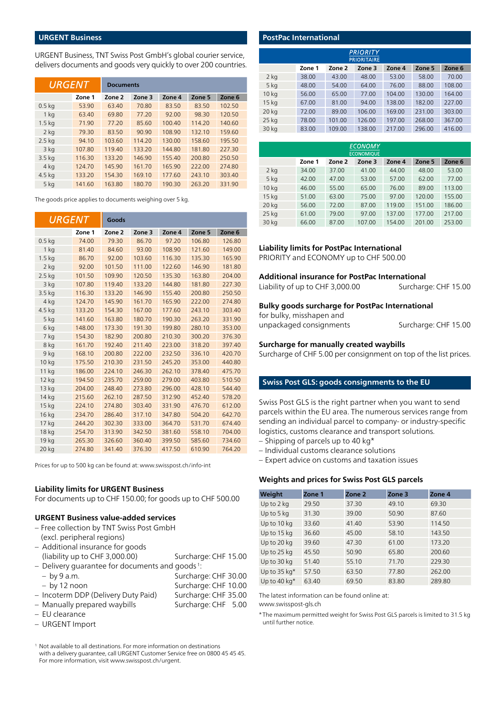#### **URGENT Business**

URGENT Business, TNT Swiss Post GmbH's global courier service, delivers documents and goods very quickly to over 200 countries.

| URGENT            |        | <b>Documents</b> |        |        |        |        |
|-------------------|--------|------------------|--------|--------|--------|--------|
|                   | Zone 1 | Zone 2           | Zone 3 | Zone 4 | Zone 5 | Zone 6 |
| $0.5$ kg          | 53.90  | 63.40            | 70.80  | 83.50  | 83.50  | 102.50 |
| 1 <sub>ka</sub>   | 63.40  | 69.80            | 77.20  | 92.00  | 98.30  | 120.50 |
| 1.5 <sub>kq</sub> | 71.90  | 77.20            | 85.60  | 100.40 | 114.20 | 140.60 |
| 2 <sub>ka</sub>   | 79.30  | 83.50            | 90.90  | 108.90 | 132.10 | 159.60 |
| $2.5$ kg          | 94.10  | 103.60           | 114.20 | 130.00 | 158.60 | 195.50 |
| 3 kg              | 107.80 | 119.40           | 133.20 | 144.80 | 181.80 | 227.30 |
| 3.5 <sub>kg</sub> | 116.30 | 133.20           | 146.90 | 155.40 | 200.80 | 250.50 |
| 4 kg              | 124.70 | 145.90           | 161.70 | 165.90 | 222.00 | 274.80 |
| 4.5 kg            | 133.20 | 154.30           | 169.10 | 177.60 | 243.10 | 303.40 |
| 5 kg              | 141.60 | 163.80           | 180.70 | 190.30 | 263.20 | 331.90 |

The goods price applies to documents weighing over 5 kg.

| <i>URGENT</i>     |        | Goods  |        |        |        |        |
|-------------------|--------|--------|--------|--------|--------|--------|
|                   | Zone 1 | Zone 2 | Zone 3 | Zone 4 | Zone 5 | Zone 6 |
| 0.5 <sub>kq</sub> | 74.00  | 79.30  | 86.70  | 97.20  | 106.80 | 126.80 |
| 1 <sub>ka</sub>   | 81.40  | 84.60  | 93.00  | 108.90 | 121.60 | 149.00 |
| 1.5 <sub>kg</sub> | 86.70  | 92.00  | 103.60 | 116.30 | 135.30 | 165.90 |
| 2 <sub>ka</sub>   | 92.00  | 101.50 | 111.00 | 122.60 | 146.90 | 181.80 |
| 2.5 <sub>kq</sub> | 101.50 | 109.90 | 120.50 | 135.30 | 163.80 | 204.00 |
| 3 kg              | 107.80 | 119.40 | 133.20 | 144.80 | 181.80 | 227.30 |
| 3.5 <sub>kg</sub> | 116.30 | 133.20 | 146.90 | 155.40 | 200.80 | 250.50 |
| 4 kg              | 124.70 | 145.90 | 161.70 | 165.90 | 222.00 | 274.80 |
| 4.5 kg            | 133.20 | 154.30 | 167.00 | 177.60 | 243.10 | 303.40 |
| 5 kg              | 141.60 | 163.80 | 180.70 | 190.30 | 263.20 | 331.90 |
| 6 kg              | 148.00 | 173.30 | 191.30 | 199.80 | 280.10 | 353.00 |
| 7 kg              | 154.30 | 182.90 | 200.80 | 210.30 | 300.20 | 376.30 |
| 8 kg              | 161.70 | 192.40 | 211.40 | 223.00 | 318.20 | 397.40 |
| 9 kg              | 168.10 | 200.80 | 222.00 | 232.50 | 336.10 | 420.70 |
| 10 kg             | 175.50 | 210.30 | 231.50 | 245.20 | 353.00 | 440.80 |
| 11 kg             | 186.00 | 224.10 | 246.30 | 262.10 | 378.40 | 475.70 |
| 12 kg             | 194.50 | 235.70 | 259.00 | 279.00 | 403.80 | 510.50 |
| 13 kg             | 204.00 | 248.40 | 273.80 | 296.00 | 428.10 | 544.40 |
| 14 kg             | 215.60 | 262.10 | 287.50 | 312.90 | 452.40 | 578.20 |
| 15 kg             | 224.10 | 274.80 | 303.40 | 331.90 | 476.70 | 612.00 |
| 16 kg             | 234.70 | 286.40 | 317.10 | 347.80 | 504.20 | 642.70 |
| 17 <sub>kg</sub>  | 244.20 | 302.30 | 333.00 | 364.70 | 531.70 | 674.40 |
| 18 kg             | 254.70 | 313.90 | 342.50 | 381.60 | 558.10 | 704.00 |
| 19 kg             | 265.30 | 326.60 | 360.40 | 399.50 | 585.60 | 734.60 |
| 20 kg             | 274.80 | 341.40 | 376.30 | 417.50 | 610.90 | 764.20 |

Prices for up to 500 kg can be found at: [www.swisspost.ch/info-int](https://www.swisspost.ch/info-int)

#### **Liability limits for URGENT Business**

For documents up to CHF 150.00; for goods up to CHF 500.00

# **URGENT Business value-added services**

- Free collection by TNT Swiss Post GmbH (excl. peripheral regions) – Additional insurance for goods (liability up to CHF 3,000.00) Surcharge: CHF 15.00
- Delivery guarantee for documents and goods 1:
- by 9 a.m. Surcharge: CHF 30.00 – by 12 noon Surcharge: CHF 10.00 – Incoterm DDP (Delivery Duty Paid) Surcharge: CHF 35.00
- Manually prepared waybills Surcharge: CHF 5.00
- EU clearance
- URGENT Import

1 Not available to all destinations. For more information on destinations with a delivery guarantee, call URGENT Customer Service free on 0800 45 45 45. For more information, visit [www.swisspost.ch/urgent](https://www.swisspost.ch/urgent).

| <b>PostPac International</b>          |        |        |        |        |        |        |  |  |  |
|---------------------------------------|--------|--------|--------|--------|--------|--------|--|--|--|
| <b>PRIORITY</b><br><b>PRIORITAIRE</b> |        |        |        |        |        |        |  |  |  |
|                                       | Zone 1 | Zone 2 | Zone 3 | Zone 4 | Zone 5 | Zone 6 |  |  |  |
| 2 <sub>ka</sub>                       | 38.00  | 43.00  | 48.00  | 53.00  | 58.00  | 70.00  |  |  |  |
| 5 <sub>ka</sub>                       | 48.00  | 54.00  | 64.00  | 76.00  | 88.00  | 108.00 |  |  |  |
| 10 <sub>kg</sub>                      | 56.00  | 65.00  | 77.00  | 104.00 | 130.00 | 164.00 |  |  |  |
| 15 <sub>kg</sub>                      | 67.00  | 81.00  | 94.00  | 138.00 | 182.00 | 227.00 |  |  |  |
| 20 <sub>kq</sub>                      | 72.00  | 89.00  | 106.00 | 169.00 | 231.00 | 303.00 |  |  |  |
| $25$ kg                               | 78.00  | 101.00 | 126.00 | 197.00 | 268.00 | 367.00 |  |  |  |
| 30 kg                                 | 83.00  | 109.00 | 138.00 | 217.00 | 296.00 | 416.00 |  |  |  |

| <b>ECONOMY</b><br><b>ECONOMIQUE</b>                      |       |       |        |        |        |        |  |  |  |  |
|----------------------------------------------------------|-------|-------|--------|--------|--------|--------|--|--|--|--|
| Zone 5<br>Zone 4<br>Zone 6<br>Zone 1<br>Zone 2<br>Zone 3 |       |       |        |        |        |        |  |  |  |  |
| $2$ kg                                                   | 34.00 | 37.00 | 41.00  | 44.00  | 48.00  | 53.00  |  |  |  |  |
| 5 <sub>kg</sub>                                          | 42.00 | 47.00 | 53.00  | 57.00  | 62.00  | 77.00  |  |  |  |  |
| 10 <sub>kg</sub>                                         | 46.00 | 55.00 | 65.00  | 76.00  | 89.00  | 113.00 |  |  |  |  |
| 15 <sub>kg</sub>                                         | 51.00 | 63.00 | 75.00  | 97.00  | 120.00 | 155.00 |  |  |  |  |
| 20 <sub>kg</sub>                                         | 56.00 | 72.00 | 87.00  | 119.00 | 151.00 | 186.00 |  |  |  |  |
| $25$ kg                                                  | 61.00 | 79.00 | 97.00  | 137.00 | 177.00 | 217.00 |  |  |  |  |
| 30 kg                                                    | 66.00 | 87.00 | 107.00 | 154.00 | 201.00 | 253.00 |  |  |  |  |

#### **Liability limits for PostPac International**

PRIORITY and ECONOMY up to CHF 500.00

#### **Additional insurance for PostPac International**

Liability of up to CHF 3,000.00 Surcharge: CHF 15.00

### **Bulky goods surcharge for PostPac International**

for bulky, misshapen and

unpackaged consignments Surcharge: CHF 15.00

#### **Surcharge for manually created waybills**

Surcharge of CHF 5.00 per consignment on top of the list prices.

### **Swiss Post GLS: goods consignments to the EU**

Swiss Post GLS is the right partner when you want to send parcels within the EU area. The numerous services range from sending an individual parcel to company- or industry-specific logistics, customs clearance and transport solutions.

- Shipping of parcels up to 40 kg\*
- Individual customs clearance solutions

– Expert advice on customs and taxation issues

#### **Weights and prices for Swiss Post GLS parcels**

| Weight                     | Zone 1 | Zone 2 | Zone 3 | Zone 4 |
|----------------------------|--------|--------|--------|--------|
| Up to $2$ kg               | 29.50  | 37.30  | 49.10  | 69.30  |
| Up to 5 kg                 | 31.30  | 39.00  | 50.90  | 87.60  |
| Up to 10 kg                | 33.60  | 41.40  | 53.90  | 114.50 |
| Up to 15 kg                | 36.60  | 45.00  | 58.10  | 143.50 |
| Up to 20 kg                | 39.60  | 47.30  | 61.00  | 173.20 |
| Up to 25 kg                | 45.50  | 50.90  | 65.80  | 200.60 |
| Up to 30 kg                | 51.40  | 55.10  | 71.70  | 229.30 |
| Up to $35$ kg <sup>*</sup> | 57.50  | 63.50  | 77.80  | 262.00 |
| Up to 40 $kg*$             | 63.40  | 69.50  | 83.80  | 289.80 |

The latest information can be found online at:

[www.swisspost-gls.ch](https://www.swisspost-gls.ch)

\* The maximum permitted weight for Swiss Post GLS parcels is limited to 31.5 kg until further notice.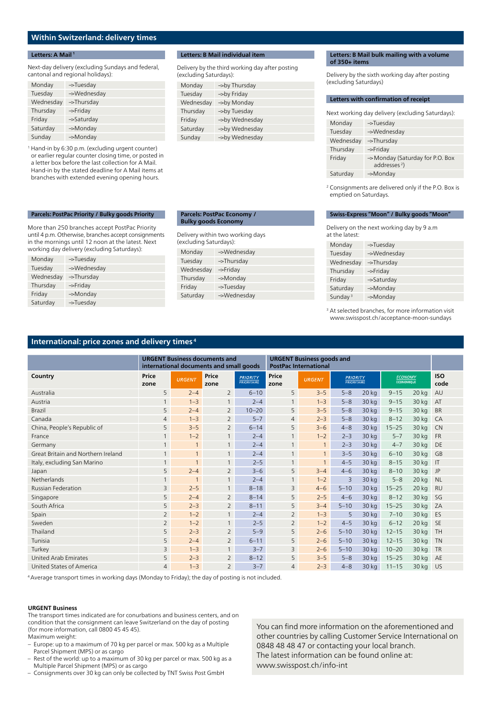# **Within Switzerland: delivery times**

#### **Letters: A Mail <sup>1</sup>**

Next-day delivery (excluding Sundays and federal, cantonal and regional holidays):

| Monday    | ->Tuesday              |
|-----------|------------------------|
| Tuesday   | ->Wednesday            |
| Wednesday | $\rightarrow$ Thursday |
| Thursday  | $\rightarrow$ Friday   |
| Friday    | ->Saturday             |
| Saturday  | ->Monday               |
| Sunday    | ->Monday               |

1 Hand-in by 6:30 p.m. (excluding urgent counter) or earlier regular counter closing time, or posted in a letter box before the last collection for A Mail. Hand-in by the stated deadline for A Mail items at branches with extended evening opening hours.

**Parcels: PostPac Priority / Bulky goods Priority** More than 250 branches accept PostPac Priority until 4 p.m. Otherwise, branches accept consignments in the mornings until 12 noon at the latest. Next working day delivery (excluding Saturdays):

-> Wednesday

Monday ->Tuesday<br>Tuesday ->Wednes

Wednesday -> Thursday Thursday -> Friday Friday ->Monday Saturday ->Tuesday

#### **Letters: B Mail individual item**

Delivery by the third working day after posting (excluding Saturdays):

| Monday    | ->by Thursday  |
|-----------|----------------|
| Tuesday   | ->by Friday    |
| Wednesday | ->by Monday    |
| Thursday  | ->by Tuesday   |
| Friday    | ->by Wednesday |
| Saturday  | ->by Wednesday |
| Sunday    | ->by Wednesday |

#### **Parcels: PostPac Economy / Bulky goods Economy**

# Delivery within two working days (excluding Saturdays):

| Monday    | ->Wednesday           |
|-----------|-----------------------|
| Tuesday   | ->Thursday            |
| Wednesday | $\rightarrow$ Friday  |
| Thursday  | ->Monday              |
| Friday    | $\rightarrow$ Tuesday |
| Saturday  | ->Wednesday           |

#### **Letters: B Mail bulk mailing with a volume of 350+ items**

Delivery by the sixth working day after posting (excluding Saturdays)

#### **Letters with confirmation of receipt**

Next working day delivery (excluding Saturdays):

| Monday    | ->Tuesday                                          |
|-----------|----------------------------------------------------|
| Tuesday   | ->Wednesday                                        |
| Wednesday | ->Thursday                                         |
| Thursday  | ->Friday                                           |
| Friday    | ->Monday (Saturday for P.O. Box<br>addresses $2$ ) |
| Saturday  | ->Monday                                           |

2 Consignments are delivered only if the P.O. Box is emptied on Saturdays.

#### **Swiss-Express "Moon" / Bulky goods "Moon"**

Delivery on the next working day by 9 a.m at the latest:

| Monday     | ->Tuesday   |
|------------|-------------|
| Tuesday    | ->Wednesday |
| Wednesday  | ->Thursday  |
| Thursday   | ->Friday    |
| Friday     | ->Saturday  |
| Saturday   | ->Monday    |
| Sunday $3$ | ->Monday    |

<sup>3</sup> At selected branches, for more information visit [www.swisspost.ch/acceptance-moon-sundays](https://www.swisspost.ch/acceptance-moon-sundays)

# **International: price zones and delivery times <sup>4</sup>**

|                                    | <b>URGENT Business documents and</b><br>international documents and small goods |               |                | <b>URGENT Business goods and</b><br><b>PostPac International</b> |                |               |                                |         |                              |         |                    |
|------------------------------------|---------------------------------------------------------------------------------|---------------|----------------|------------------------------------------------------------------|----------------|---------------|--------------------------------|---------|------------------------------|---------|--------------------|
| Country                            | Price<br>zone                                                                   | <b>URGENT</b> | Price<br>zone  | <b>PRIORITY</b><br><b>PRIORITAIRE</b>                            | Price<br>zone  | <b>URGENT</b> | <b>PRIORITY</b><br>PRIORITAIRE |         | <b>ECONOMY</b><br>ECONOMIQUE |         | <b>ISO</b><br>code |
| Australia                          | 5                                                                               | $2 - 4$       | 2              | $6 - 10$                                                         | 5              | $3 - 5$       | $5 - 8$                        | $20$ kg | $9 - 15$                     | $20$ kg | AU                 |
| Austria                            | 1                                                                               | $1 - 3$       |                | $2 - 4$                                                          | 1              | $1 - 3$       | $5 - 8$                        | 30 kg   | $9 - 15$                     | 30 kg   | AT                 |
| <b>Brazil</b>                      | 5                                                                               | $2 - 4$       | 2              | $10 - 20$                                                        | 5              | $3 - 5$       | $5 - 8$                        | 30 kg   | $9 - 15$                     | 30 kg   | <b>BR</b>          |
| Canada                             | 4                                                                               | $1 - 3$       | 2              | $5 - 7$                                                          | $\overline{4}$ | $2 - 3$       | $5 - 8$                        | 30 kg   | $8 - 12$                     | 30 kg   | CA                 |
| China, People's Republic of        | 5                                                                               | $3 - 5$       | 2              | $6 - 14$                                                         | 5              | $3 - 6$       | $4 - 8$                        | 30 kg   | $15 - 25$                    | 30 kg   | <b>CN</b>          |
| France                             | $\mathbf{1}$                                                                    | $1 - 2$       | $\mathbf{1}$   | $2 - 4$                                                          | $\mathbf{1}$   | $1 - 2$       | $2 - 3$                        | 30 kg   | $5 - 7$                      | 30 kg   | <b>FR</b>          |
| Germany                            | $\mathbf{1}$                                                                    | 1             | $\overline{1}$ | $2 - 4$                                                          | $\mathbf{1}$   | $\mathbf{1}$  | $2 - 3$                        | 30 kg   | $4 - 7$                      | 30 kg   | DE                 |
| Great Britain and Northern Ireland | $\mathbf{1}$                                                                    | $\mathbf{1}$  | $\mathbf{1}$   | $2 - 4$                                                          | $\mathbf{1}$   | $\mathbf{1}$  | $3 - 5$                        | 30 kg   | $6 - 10$                     | 30 kg   | GB                 |
| Italy, excluding San Marino        | $\mathbf{1}$                                                                    | $\mathbf{1}$  | $\mathbf{1}$   | $2 - 5$                                                          | $\mathbf{1}$   | $\mathbf{1}$  | $4 - 5$                        | 30 kg   | $8 - 15$                     | 30 kg   | $\mathsf{I}$       |
| Japan                              | 5                                                                               | $2 - 4$       | $\overline{2}$ | $3 - 6$                                                          | 5              | $3 - 4$       | $4 - 6$                        | 30 kg   | $8 - 10$                     | 30 kg   | <b>JP</b>          |
| <b>Netherlands</b>                 | $\mathbf{1}$                                                                    |               | 1              | $2 - 4$                                                          | $\mathbf{1}$   | $1 - 2$       | $\overline{3}$                 | 30 kg   | $5 - 8$                      | $20$ kg | <b>NL</b>          |
| <b>Russian Federation</b>          | $\overline{3}$                                                                  | $2 - 5$       | 1              | $8 - 18$                                                         | 3              | $4 - 6$       | $5 - 10$                       | 30 kg   | $15 - 25$                    | $20$ kg | <b>RU</b>          |
| Singapore                          | 5                                                                               | $2 - 4$       | $\overline{2}$ | $8 - 14$                                                         | 5              | $2 - 5$       | $4 - 6$                        | 30 kg   | $8 - 12$                     | 30 kg   | SG                 |
| South Africa                       | 5                                                                               | $2 - 3$       | $\overline{2}$ | $8 - 11$                                                         | 5              | $3 - 4$       | $5 - 10$                       | 30 kg   | $15 - 25$                    | 30 kg   | ZA                 |
| Spain                              | $\overline{2}$                                                                  | $1 - 2$       | $\mathbf{1}$   | $2 - 4$                                                          | $\overline{2}$ | $1 - 3$       | 5                              | 30 kg   | $7 - 10$                     | 30 kg   | ES                 |
| Sweden                             | $\overline{2}$                                                                  | $1 - 2$       | $\mathbf{1}$   | $2 - 5$                                                          | $\overline{2}$ | $1 - 2$       | $4 - 5$                        | 30 kg   | $6 - 12$                     | $20$ kg | <b>SE</b>          |
| Thailand                           | 5                                                                               | $2 - 3$       | $\overline{2}$ | $5 - 9$                                                          | 5              | $2 - 6$       | $5 - 10$                       | 30 kg   | $12 - 15$                    | 30 kg   | <b>TH</b>          |
| Tunisia                            | 5                                                                               | $2 - 4$       | $\overline{2}$ | $6 - 11$                                                         | 5              | $2 - 6$       | $5 - 10$                       | 30 kg   | $12 - 15$                    | 30 kg   | <b>TN</b>          |
| Turkey                             | 3                                                                               | $1 - 3$       | $\mathbf{1}$   | $3 - 7$                                                          | 3              | $2 - 6$       | $5 - 10$                       | 30 kg   | $10 - 20$                    | 30 kg   | <b>TR</b>          |
| <b>United Arab Emirates</b>        | 5                                                                               | $2 - 3$       | $\overline{2}$ | $8 - 12$                                                         | 5              | $3 - 5$       | $5 - 8$                        | 30 kg   | $15 - 25$                    | 30 kg   | AE                 |
| United States of America           | $\overline{4}$                                                                  | $1 - 3$       | $\overline{2}$ | $3 - 7$                                                          | 4              | $2 - 3$       | $4 - 8$                        | 30 kg   | $11 - 15$                    | 30 kg   | US                 |

<sup>4</sup>Average transport times in working days (Monday to Friday); the day of posting is not included.

#### **URGENT Business**

The transport times indicated are for conurbations and business centers, and on condition that the consignment can leave Switzerland on the day of posting (for more information, call 0800 45 45 45). Maximum weight:

- Europe: up to a maximum of 70 kg per parcel or max. 500 kg as a Multiple Parcel Shipment (MPS) or as cargo
- Rest of the world: up to a maximum of 30 kg per parcel or max. 500 kg as a Multiple Parcel Shipment (MPS) or as cargo
- Consignments over 30 kg can only be collected by TNT Swiss Post GmbH

You can find more information on the aforementioned and other countries by calling Customer Service International on 0848 48 48 47 or contacting your local branch. The latest information can be found online at: [www.swisspost.ch/info-int](https://www.swisspost.ch/info-int)